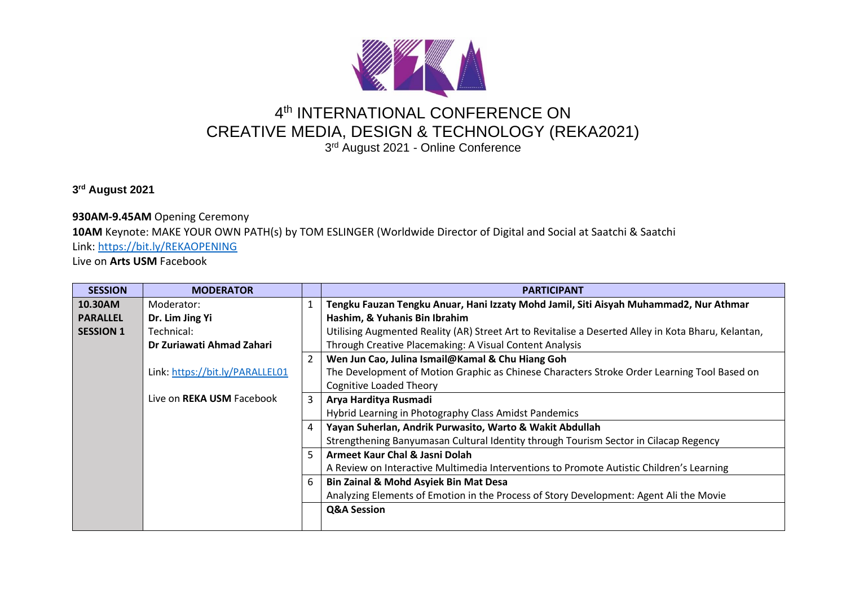

## 4<sup>th</sup> INTERNATIONAL CONFERENCE ON CREATIVE MEDIA, DESIGN & TECHNOLOGY (REKA2021)

3<sup>rd</sup> August 2021 - Online Conference

## **3 rd August 2021**

## **930AM-9.45AM** Opening Ceremony

**10AM** Keynote: MAKE YOUR OWN PATH(s) by TOM ESLINGER (Worldwide Director of Digital and Social at Saatchi & Saatchi Link:<https://bit.ly/REKAOPENING>

Live on **Arts USM** Facebook

| <b>SESSION</b>   | <b>MODERATOR</b>                 |                | <b>PARTICIPANT</b>                                                                                  |
|------------------|----------------------------------|----------------|-----------------------------------------------------------------------------------------------------|
| 10.30AM          | Moderator:                       | 1              | Tengku Fauzan Tengku Anuar, Hani Izzaty Mohd Jamil, Siti Aisyah Muhammad2, Nur Athmar               |
| <b>PARALLEL</b>  | Dr. Lim Jing Yi                  |                | Hashim, & Yuhanis Bin Ibrahim                                                                       |
| <b>SESSION 1</b> | Technical:                       |                | Utilising Augmented Reality (AR) Street Art to Revitalise a Deserted Alley in Kota Bharu, Kelantan, |
|                  | Dr Zuriawati Ahmad Zahari        |                | Through Creative Placemaking: A Visual Content Analysis                                             |
|                  |                                  | $\overline{2}$ | Wen Jun Cao, Julina Ismail@Kamal & Chu Hiang Goh                                                    |
|                  | Link: https://bit.ly/PARALLEL01  |                | The Development of Motion Graphic as Chinese Characters Stroke Order Learning Tool Based on         |
|                  |                                  |                | Cognitive Loaded Theory                                                                             |
|                  | Live on <b>REKA USM</b> Facebook | 3              | Arya Harditya Rusmadi                                                                               |
|                  |                                  |                | Hybrid Learning in Photography Class Amidst Pandemics                                               |
|                  |                                  | 4              | Yayan Suherlan, Andrik Purwasito, Warto & Wakit Abdullah                                            |
|                  |                                  |                | Strengthening Banyumasan Cultural Identity through Tourism Sector in Cilacap Regency                |
|                  |                                  |                | Armeet Kaur Chal & Jasni Dolah                                                                      |
|                  |                                  |                | A Review on Interactive Multimedia Interventions to Promote Autistic Children's Learning            |
|                  |                                  | 6              | <b>Bin Zainal &amp; Mohd Asyiek Bin Mat Desa</b>                                                    |
|                  |                                  |                | Analyzing Elements of Emotion in the Process of Story Development: Agent Ali the Movie              |
|                  |                                  |                | <b>Q&amp;A Session</b>                                                                              |
|                  |                                  |                |                                                                                                     |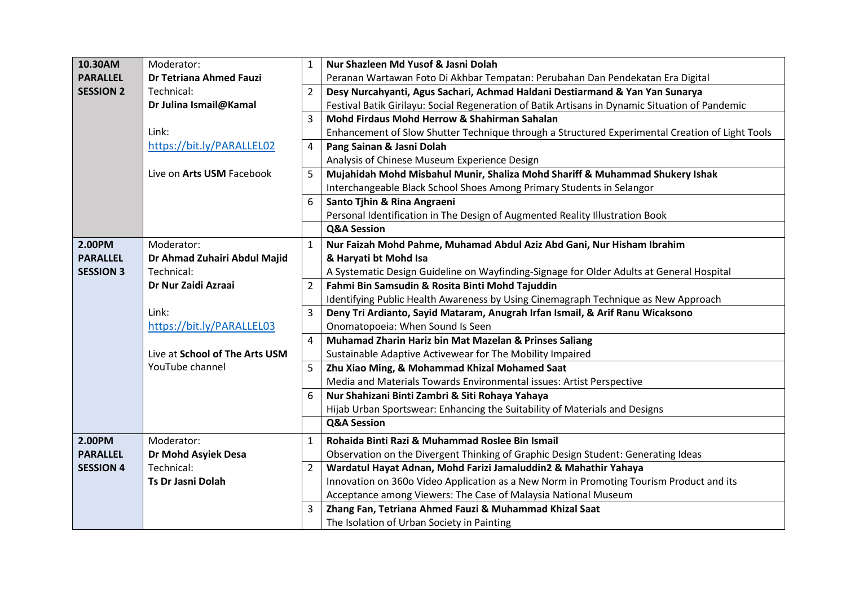| 10.30AM          | Moderator:                     | $\mathbf{1}$   | Nur Shazleen Md Yusof & Jasni Dolah                                                             |
|------------------|--------------------------------|----------------|-------------------------------------------------------------------------------------------------|
| <b>PARALLEL</b>  | Dr Tetriana Ahmed Fauzi        |                | Peranan Wartawan Foto Di Akhbar Tempatan: Perubahan Dan Pendekatan Era Digital                  |
| <b>SESSION 2</b> | Technical:                     | $\overline{2}$ | Desy Nurcahyanti, Agus Sachari, Achmad Haldani Destiarmand & Yan Yan Sunarya                    |
|                  | Dr Julina Ismail@Kamal         |                | Festival Batik Girilayu: Social Regeneration of Batik Artisans in Dynamic Situation of Pandemic |
|                  |                                | 3              | Mohd Firdaus Mohd Herrow & Shahirman Sahalan                                                    |
|                  | Link:                          |                | Enhancement of Slow Shutter Technique through a Structured Experimental Creation of Light Tools |
|                  | https://bit.ly/PARALLEL02      | 4              | Pang Sainan & Jasni Dolah                                                                       |
|                  |                                |                | Analysis of Chinese Museum Experience Design                                                    |
|                  | Live on Arts USM Facebook      | 5              | Mujahidah Mohd Misbahul Munir, Shaliza Mohd Shariff & Muhammad Shukery Ishak                    |
|                  |                                |                | Interchangeable Black School Shoes Among Primary Students in Selangor                           |
|                  |                                | 6              | Santo Tjhin & Rina Angraeni                                                                     |
|                  |                                |                | Personal Identification in The Design of Augmented Reality Illustration Book                    |
|                  |                                |                | <b>Q&amp;A Session</b>                                                                          |
| 2.00PM           | Moderator:                     | $\mathbf{1}$   | Nur Faizah Mohd Pahme, Muhamad Abdul Aziz Abd Gani, Nur Hisham Ibrahim                          |
| <b>PARALLEL</b>  | Dr Ahmad Zuhairi Abdul Majid   |                | & Haryati bt Mohd Isa                                                                           |
| <b>SESSION 3</b> | Technical:                     |                | A Systematic Design Guideline on Wayfinding-Signage for Older Adults at General Hospital        |
|                  | Dr Nur Zaidi Azraai            | $\overline{2}$ | Fahmi Bin Samsudin & Rosita Binti Mohd Tajuddin                                                 |
|                  |                                |                | Identifying Public Health Awareness by Using Cinemagraph Technique as New Approach              |
|                  | Link:                          | 3              | Deny Tri Ardianto, Sayid Mataram, Anugrah Irfan Ismail, & Arif Ranu Wicaksono                   |
|                  | https://bit.ly/PARALLEL03      |                | Onomatopoeia: When Sound Is Seen                                                                |
|                  |                                | 4              | Muhamad Zharin Hariz bin Mat Mazelan & Prinses Saliang                                          |
|                  | Live at School of The Arts USM |                | Sustainable Adaptive Activewear for The Mobility Impaired                                       |
|                  | YouTube channel                | 5              | Zhu Xiao Ming, & Mohammad Khizal Mohamed Saat                                                   |
|                  |                                |                | Media and Materials Towards Environmental issues: Artist Perspective                            |
|                  |                                | 6              | Nur Shahizani Binti Zambri & Siti Rohaya Yahaya                                                 |
|                  |                                |                | Hijab Urban Sportswear: Enhancing the Suitability of Materials and Designs                      |
|                  |                                |                | <b>Q&amp;A Session</b>                                                                          |
| 2.00PM           | Moderator:                     | 1              | Rohaida Binti Razi & Muhammad Roslee Bin Ismail                                                 |
| <b>PARALLEL</b>  | Dr Mohd Asyiek Desa            |                | Observation on the Divergent Thinking of Graphic Design Student: Generating Ideas               |
| <b>SESSION 4</b> | Technical:                     | 2              | Wardatul Hayat Adnan, Mohd Farizi Jamaluddin2 & Mahathir Yahaya                                 |
|                  | <b>Ts Dr Jasni Dolah</b>       |                | Innovation on 360o Video Application as a New Norm in Promoting Tourism Product and its         |
|                  |                                |                | Acceptance among Viewers: The Case of Malaysia National Museum                                  |
|                  |                                | 3              | Zhang Fan, Tetriana Ahmed Fauzi & Muhammad Khizal Saat                                          |
|                  |                                |                | The Isolation of Urban Society in Painting                                                      |